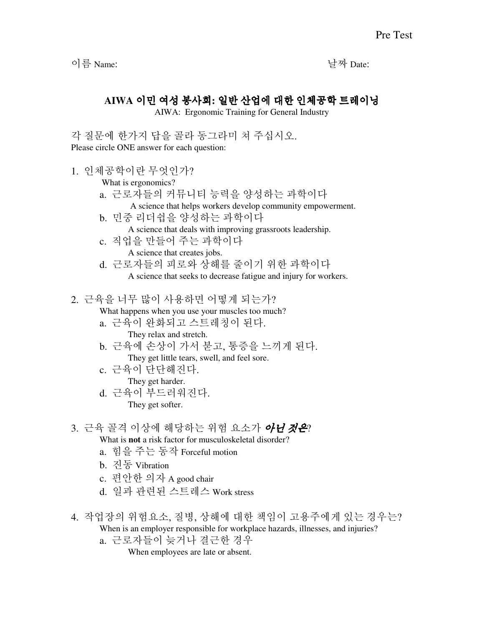이름 Name: 날짜 Date:

## **AIWA** 이민 여성 봉사회**:** 일반 산업에 대한 인체공학 트레이닝

AIWA: Ergonomic Training for General Industry

각 질문에 한가지 답을 골라 동그라미 쳐 주십시오. Please circle ONE answer for each question:

1. 인체공학이란 무엇인가?

What is ergonomics?

- a. 근로자들의 커뮤니티 능력을 양성하는 과학이다
	- A science that helps workers develop community empowerment.
- b. 민중 리더쉽을 양성하는 과학이다 A science that deals with improving grassroots leadership.
- c. 직업을 만들어 주는 과학이다 A science that creates jobs.
- d. 근로자들의 피로와 상해를 줄이기 위한 과학이다 A science that seeks to decrease fatigue and injury for workers.

2. 근육을 너무 많이 사용하면 어떻게 되는가?

What happens when you use your muscles too much?

- a. 근육이 완화되고 스트레칭이 된다. They relax and stretch.
- b. 근육에 손상이 가서 붇고, 통증을 느끼게 된다. They get little tears, swell, and feel sore.
- c. 근육이 단단해진다. They get harder.
- d. 근육이 부드러워진다. They get softer.
- 3. 근육 골격 이상에 해당하는 위험 요소가 *아니 것은*?
	- What is **not** a risk factor for musculoskeletal disorder?
	- a. 힘을 주는 동작 Forceful motion
	- b. 진동 Vibration
	- c. 편안한 의자 A good chair
	- d. 일과 관련된 스트레스 Work stress
- 4. 작업장의 위험요소, 질병, 상해에 대한 책임이 고용주에게 있는 경우는? When is an employer responsible for workplace hazards, illnesses, and injuries?
	- a. 근로자들이 늦거나 결근한 경우

When employees are late or absent.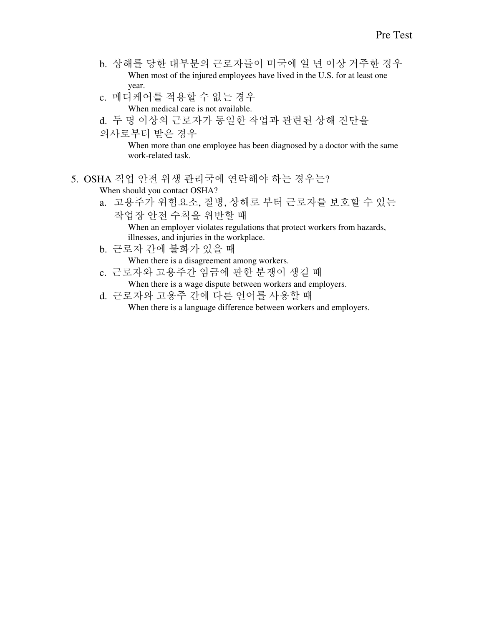- b. 상해를 당한 대부분의 근로자들이 미국에 일 년 이상 거주한 경우 When most of the injured employees have lived in the U.S. for at least one year.
- c. 메디케어를 적용할 수 없는 경우 When medical care is not available.
- d. 두 명 이상의 근로자가 동일한 작업과 관련된 상해 진단을
- 의사로부터 받은 경우

When more than one employee has been diagnosed by a doctor with the same work-related task.

- 5. OSHA 직업 안전 위생 관리국에 연락해야 하는 경우는? When should you contact OSHA?
	- a. 고용주가 위험요소, 질병, 상해로 부터 근로자를 보호할 수 있는 작업장 안전 수칙을 위반할 때 When an employer violates regulations that protect workers from hazards, illnesses, and injuries in the workplace.
	- b. 근로자 간에 불화가 있을 때

When there is a disagreement among workers.

- c. 근로자와 고용주간 임금에 관한 분쟁이 생길 때 When there is a wage dispute between workers and employers.
- d. 근로자와 고용주 간에 다른 언어를 사용할 때 When there is a language difference between workers and employers.